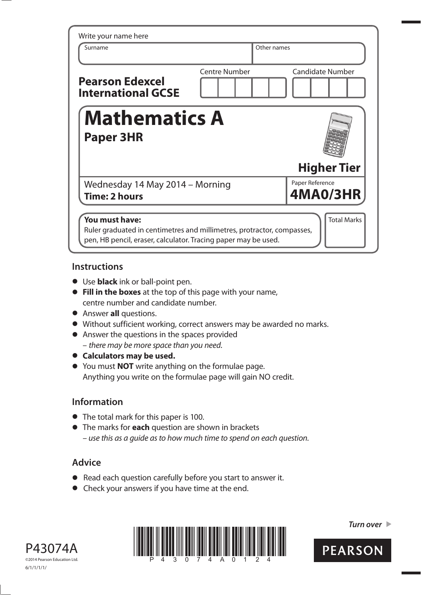| Write your name here                                                                                                                                       |                      |                         |  |  |
|------------------------------------------------------------------------------------------------------------------------------------------------------------|----------------------|-------------------------|--|--|
| Surname                                                                                                                                                    |                      | Other names             |  |  |
| <b>Pearson Edexcel</b><br><b>International GCSE</b>                                                                                                        | <b>Centre Number</b> | <b>Candidate Number</b> |  |  |
| <b>Mathematics A</b><br><b>Paper 3HR</b>                                                                                                                   |                      |                         |  |  |
|                                                                                                                                                            |                      | <b>Higher Tier</b>      |  |  |
| Wednesday 14 May 2014 - Morning                                                                                                                            |                      | Paper Reference         |  |  |
| Time: 2 hours                                                                                                                                              |                      | <b>4MA0/3HR</b>         |  |  |
| You must have:<br>Ruler graduated in centimetres and millimetres, protractor, compasses,<br>pen, HB pencil, eraser, calculator. Tracing paper may be used. |                      | <b>Total Marks</b>      |  |  |

### **Instructions**

- **t** Use **black** ink or ball-point pen.
- **Fill in the boxes** at the top of this page with your name, centre number and candidate number.
- **•** Answer **all** questions.
- **t** Without sufficient working, correct answers may be awarded no marks.
- **•** Answer the questions in the spaces provided – there may be more space than you need.
- $\bullet$  Calculators may be used.
- **t** You must **NOT** write anything on the formulae page. Anything you write on the formulae page will gain NO credit.

## **Information**

- **•** The total mark for this paper is 100.
- **t** The marks for **each** question are shown in brackets – use this as a guide as to how much time to spend on each question.

# **Advice**

- **t** Read each question carefully before you start to answer it.
- **•** Check your answers if you have time at the end.





*Turn over* 

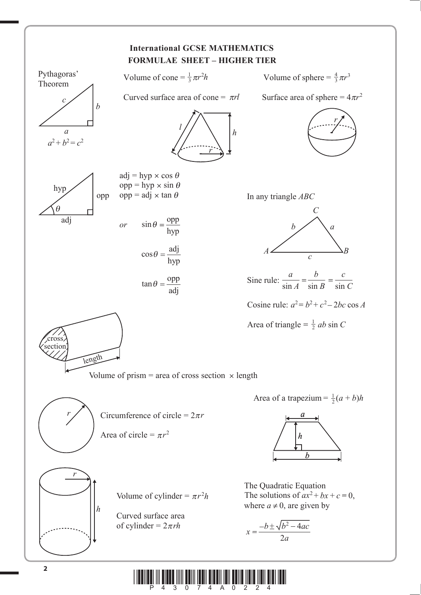

 $\limsup_{A\to 3}\limsup_{3\to 0}\limsup_{7\to 1}\limsup_{4\to 0}\limsup_{N\to 0}\limsup_{2\to 2}\limsup_{4\to 1}$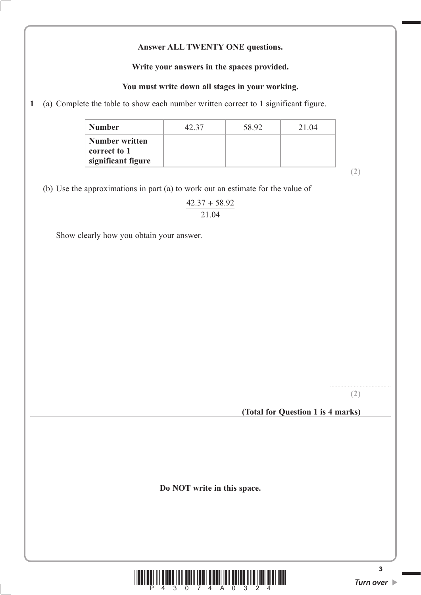#### **Answer ALL TWENTY ONE questions.**

#### **Write your answers in the spaces provided.**

#### **You must write down all stages in your working.**

**1** (a) Complete the table to show each number written correct to 1 significant figure.

| <b>Number</b>                                               | 47 37 | 58.92 | 21 04 |
|-------------------------------------------------------------|-------|-------|-------|
| <b>Number written</b><br>correct to 1<br>significant figure |       |       |       |

**(2)**

(b) Use the approximations in part (a) to work out an estimate for the value of

 $\frac{1}{21.04}$  $\overline{21.04}$ +

Show clearly how you obtain your answer.

......................................... **(2)**

**(Total for Question 1 is 4 marks)**

**Do NOT write in this space.**



**3**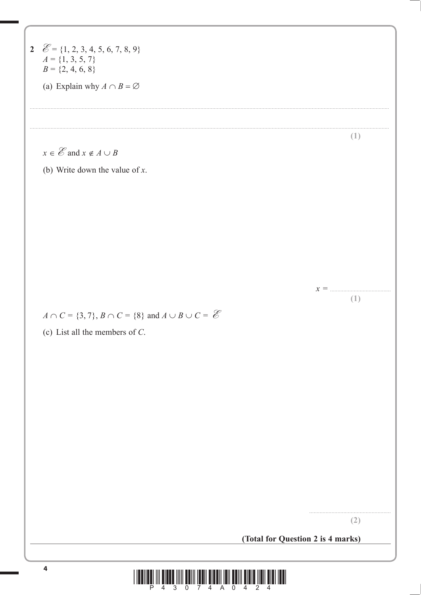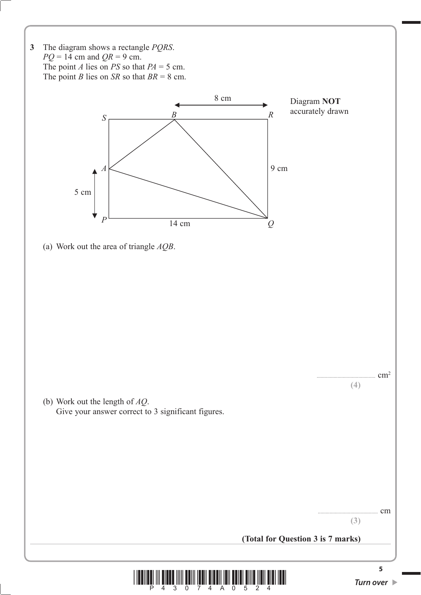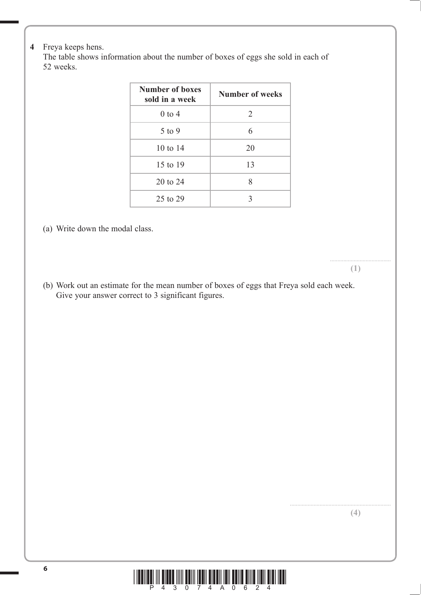#### **4** Freya keeps hens.

 The table shows information about the number of boxes of eggs she sold in each of 52 weeks.

| Number of boxes<br>sold in a week | <b>Number of weeks</b> |  |  |
|-----------------------------------|------------------------|--|--|
| $0$ to 4                          | 2                      |  |  |
| $5$ to 9                          | 6                      |  |  |
| $10 \text{ to } 14$               | 20                     |  |  |
| 15 to 19                          | 13                     |  |  |
| 20 to 24                          | 8                      |  |  |
| 25 to 29                          | 3                      |  |  |

(a) Write down the modal class.

**(1)**

.........................................

 (b) Work out an estimate for the mean number of boxes of eggs that Freya sold each week. Give your answer correct to 3 significant figures.

**(4)**

![](_page_5_Picture_7.jpeg)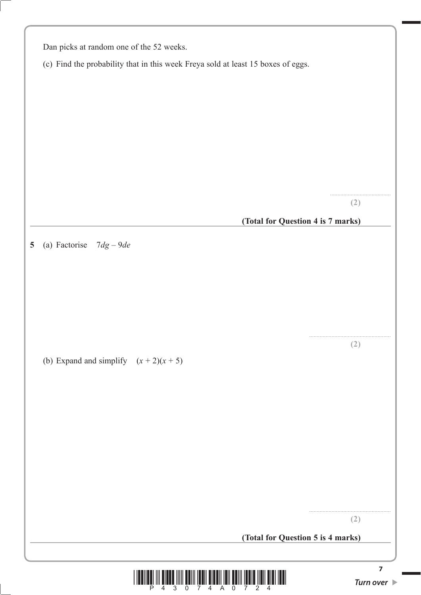| Dan picks at random one of the 52 weeks.                                         |                                   |  |  |  |
|----------------------------------------------------------------------------------|-----------------------------------|--|--|--|
| (c) Find the probability that in this week Freya sold at least 15 boxes of eggs. |                                   |  |  |  |
|                                                                                  |                                   |  |  |  |
|                                                                                  |                                   |  |  |  |
|                                                                                  |                                   |  |  |  |
|                                                                                  |                                   |  |  |  |
|                                                                                  |                                   |  |  |  |
|                                                                                  |                                   |  |  |  |
|                                                                                  |                                   |  |  |  |
|                                                                                  |                                   |  |  |  |
|                                                                                  | (2)                               |  |  |  |
|                                                                                  |                                   |  |  |  |
|                                                                                  | (Total for Question 4 is 7 marks) |  |  |  |
| (a) Factorise<br>$7dg - 9de$                                                     |                                   |  |  |  |
|                                                                                  |                                   |  |  |  |
|                                                                                  |                                   |  |  |  |
|                                                                                  |                                   |  |  |  |
|                                                                                  |                                   |  |  |  |
|                                                                                  |                                   |  |  |  |
|                                                                                  |                                   |  |  |  |
|                                                                                  | (2)                               |  |  |  |
| (b) Expand and simplify $(x + 2)(x + 5)$                                         |                                   |  |  |  |
|                                                                                  |                                   |  |  |  |
|                                                                                  |                                   |  |  |  |
|                                                                                  |                                   |  |  |  |
|                                                                                  |                                   |  |  |  |
|                                                                                  |                                   |  |  |  |
|                                                                                  |                                   |  |  |  |
|                                                                                  |                                   |  |  |  |
|                                                                                  |                                   |  |  |  |
|                                                                                  |                                   |  |  |  |
|                                                                                  |                                   |  |  |  |
|                                                                                  |                                   |  |  |  |
|                                                                                  | (2)                               |  |  |  |
|                                                                                  | (Total for Question 5 is 4 marks) |  |  |  |
|                                                                                  |                                   |  |  |  |
|                                                                                  | 7                                 |  |  |  |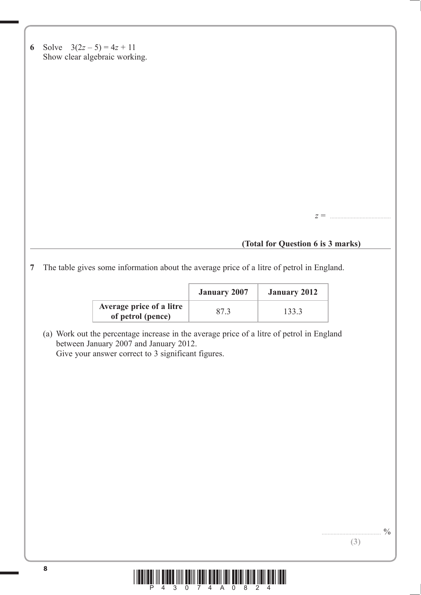|  | 6 Solve $3(2z-5) = 4z + 11$   |
|--|-------------------------------|
|  | Show clear algebraic working. |

**(Total for Question 6 is 3 marks)**

*z* = .........................................

**7** The table gives some information about the average price of a litre of petrol in England.

|                                               | <b>January 2007</b> | <b>January 2012</b> |
|-----------------------------------------------|---------------------|---------------------|
| Average price of a litre<br>of petrol (pence) | 873                 | 133.3               |

 (a) Work out the percentage increase in the average price of a litre of petrol in England between January 2007 and January 2012. Give your answer correct to 3 significant figures.

![](_page_7_Picture_6.jpeg)

 $.9/0$ 

**(3)**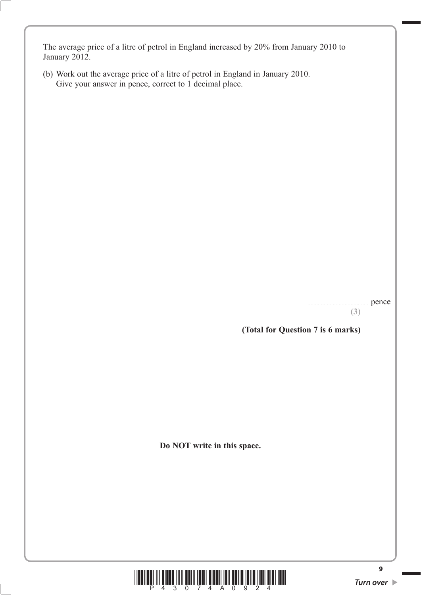The average price of a litre of petrol in England increased by 20% from January 2010 to January 2012.

 (b) Work out the average price of a litre of petrol in England in January 2010. Give your answer in pence, correct to 1 decimal place.

> ......................................... pence **(3)**

**(Total for Question 7 is 6 marks)**

**Do NOT write in this space.**

![](_page_8_Picture_5.jpeg)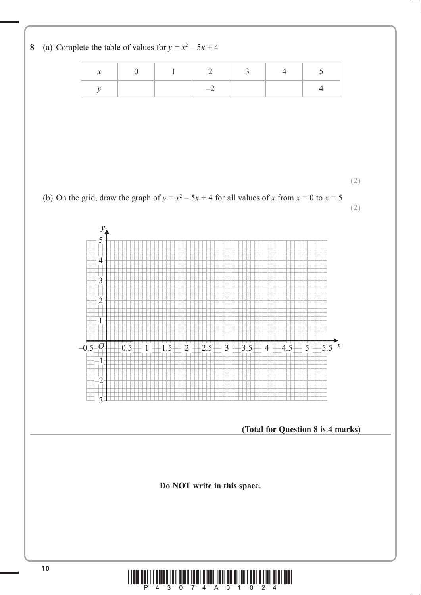![](_page_9_Figure_0.jpeg)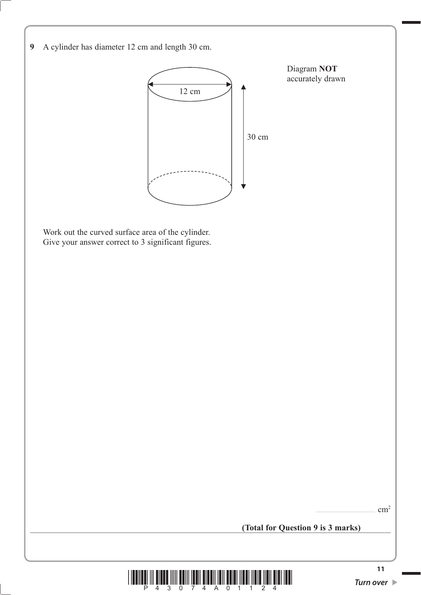![](_page_10_Figure_0.jpeg)

![](_page_10_Picture_1.jpeg)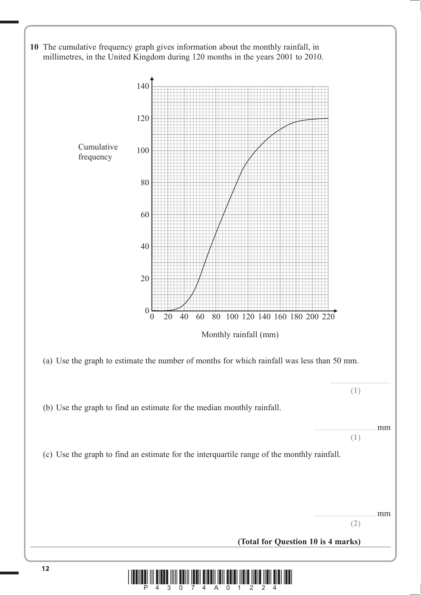![](_page_11_Figure_0.jpeg)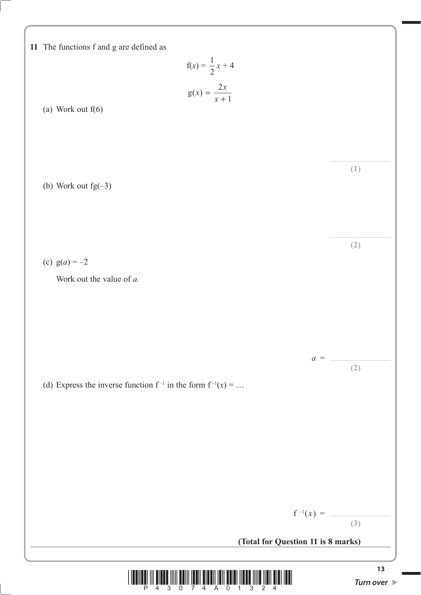![](_page_12_Figure_0.jpeg)

![](_page_12_Picture_1.jpeg)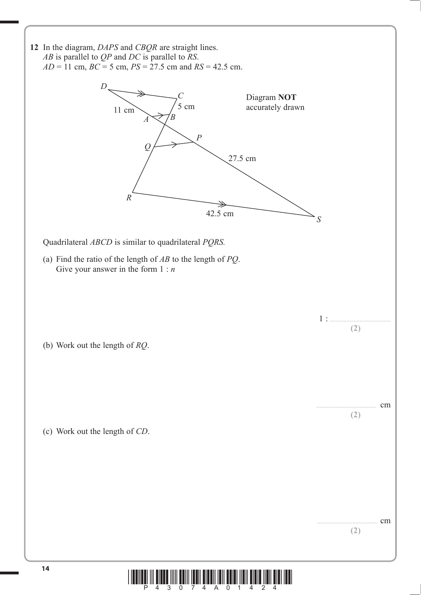![](_page_13_Figure_0.jpeg)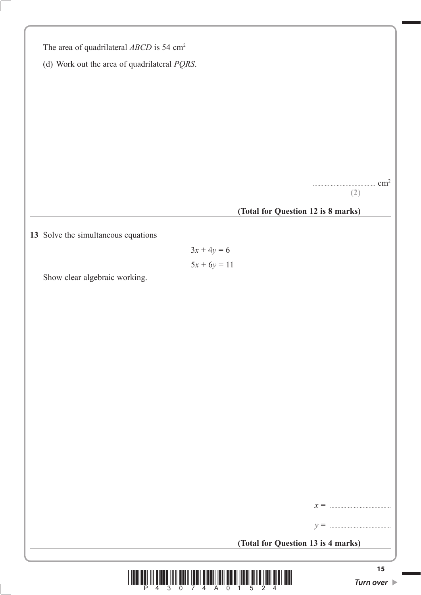| The area of quadrilateral ABCD is 54 cm <sup>2</sup> |
|------------------------------------------------------|
| (d) Work out the area of quadrilateral $PQRS$ .      |
|                                                      |
|                                                      |
|                                                      |
|                                                      |
|                                                      |
|                                                      |
|                                                      |
| cm <sup>2</sup>                                      |
| (2)                                                  |
| (Total for Question 12 is 8 marks)                   |
|                                                      |
| 13 Solve the simultaneous equations                  |
| $3x + 4y = 6$                                        |
| $5x + 6y = 11$                                       |
| Show clear algebraic working.                        |
|                                                      |
|                                                      |
|                                                      |
|                                                      |
|                                                      |
|                                                      |
|                                                      |
|                                                      |
|                                                      |
|                                                      |
|                                                      |
|                                                      |
|                                                      |
|                                                      |
|                                                      |
| $x =$                                                |
| $y =$                                                |
| (Total for Question 13 is 4 marks)                   |
|                                                      |

![](_page_14_Picture_1.jpeg)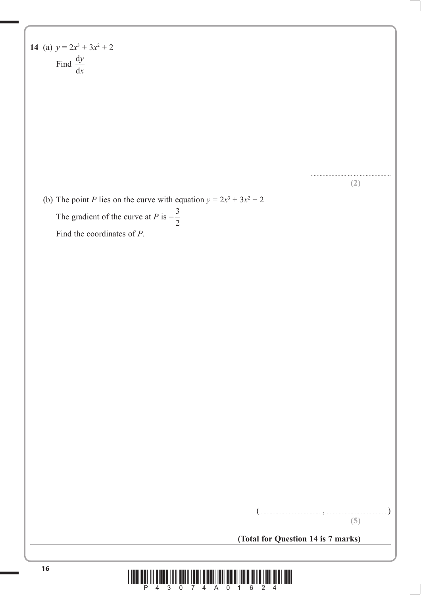14 (a)  $y = 2x^3 + 3x^2 + 2$ Find  $\frac{d}{1}$ d *y x*

**(2)**

(b) The point *P* lies on the curve with equation  $y = 2x^3 + 3x^2 + 2$ The gradient of the curve at *P* is  $-\frac{3}{2}$ Find the coordinates of *P*.

(......................................... , .........................................)

**(5)**

**(Total for Question 14 is 7 marks)**

![](_page_15_Picture_6.jpeg)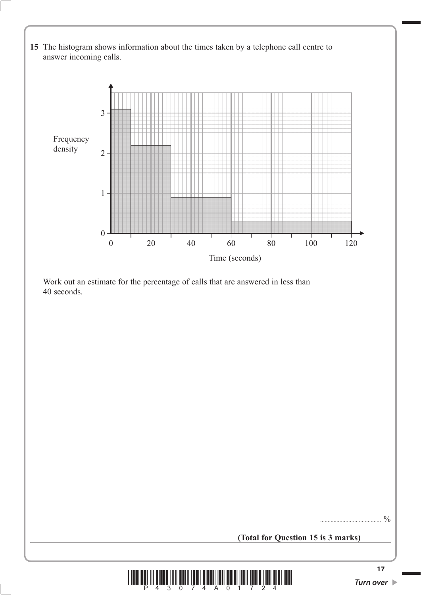![](_page_16_Figure_0.jpeg)

**(Total for Question 15 is 3 marks)**

![](_page_16_Picture_2.jpeg)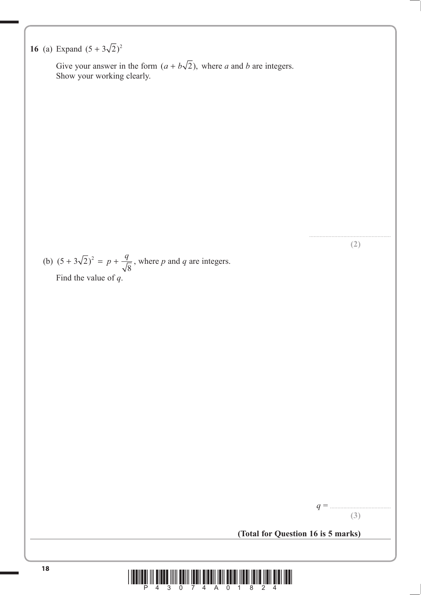# **16** (a) Expand  $(5 + 3\sqrt{2})^2$

Give your answer in the form  $(a + b\sqrt{2})$ , where *a* and *b* are integers.<br>Show your working clearly.

(b) 
$$
(5 + 3\sqrt{2})^2 = p + \frac{q}{\sqrt{8}}
$$
, where *p* and *q* are integers.  
Find the value of *q*.

*q* = ......................................... **(3)**

....................................................... **(2)**

**(Total for Question 16 is 5 marks)**

![](_page_17_Picture_5.jpeg)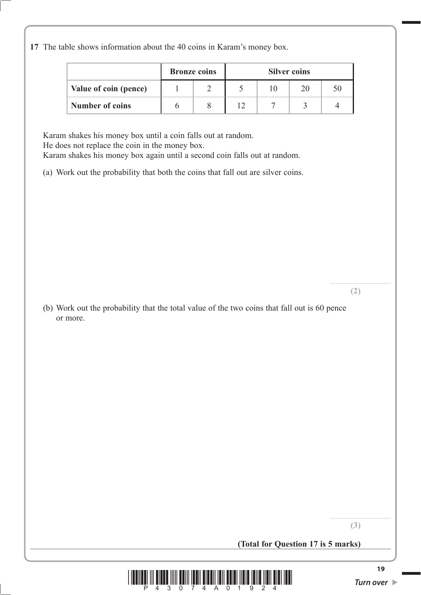**17** The table shows information about the 40 coins in Karam's money box.

|                        | <b>Bronze</b> coins | <b>Silver coins</b> |  |  |
|------------------------|---------------------|---------------------|--|--|
| Value of coin (pence)  |                     |                     |  |  |
| <b>Number of coins</b> |                     |                     |  |  |

Karam shakes his money box until a coin falls out at random. He does not replace the coin in the money box. Karam shakes his money box again until a second coin falls out at random.

(a) Work out the probability that both the coins that fall out are silver coins.

(b) Work out the probability that the total value of the two coins that fall out is 60 pence or more.

**(3)**

**(2)**

**(Total for Question 17 is 5 marks)**

![](_page_18_Picture_7.jpeg)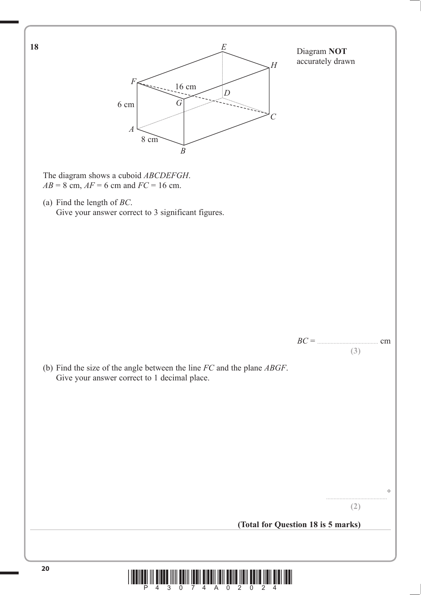![](_page_19_Figure_0.jpeg)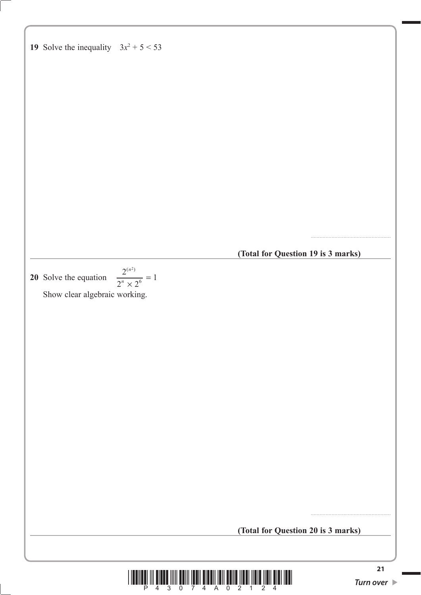19 Solve the inequality 
$$
3x^2 + 5 < 53
$$
 (Total for Question 19 is 3 marks)

\n20 Solve the equation  $\frac{2^{(n^5)}}{2^n \times 2^n} = 1$ 

\nShow clear algebraic working.

\n(Total for Question 20 is 3 marks)

![](_page_20_Picture_1.jpeg)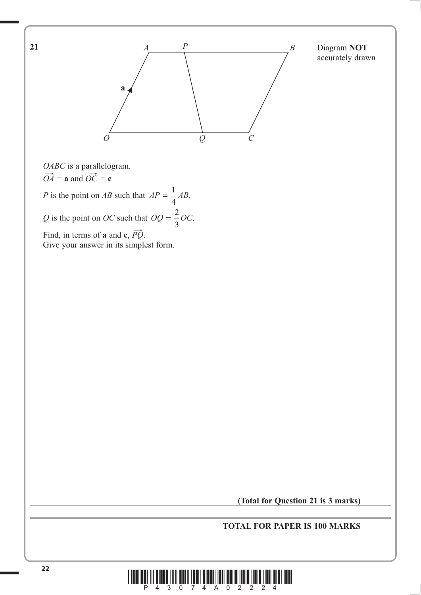![](_page_21_Figure_0.jpeg)

**(Total for Question 21 is 3 marks)**

#### **TOTAL FOR PAPER IS 100 MARKS**

![](_page_21_Picture_3.jpeg)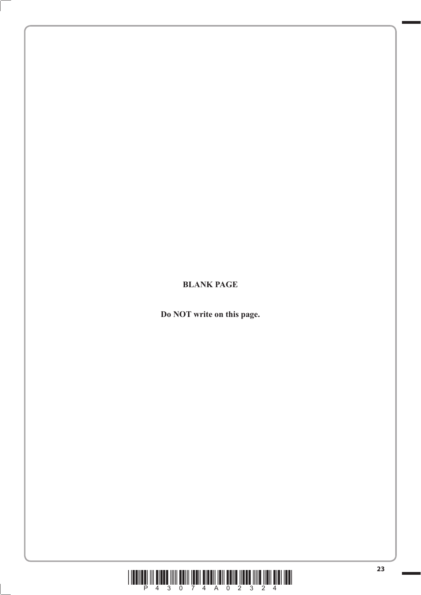![](_page_22_Picture_0.jpeg)

**Do NOT write on this page.**

![](_page_22_Picture_2.jpeg)